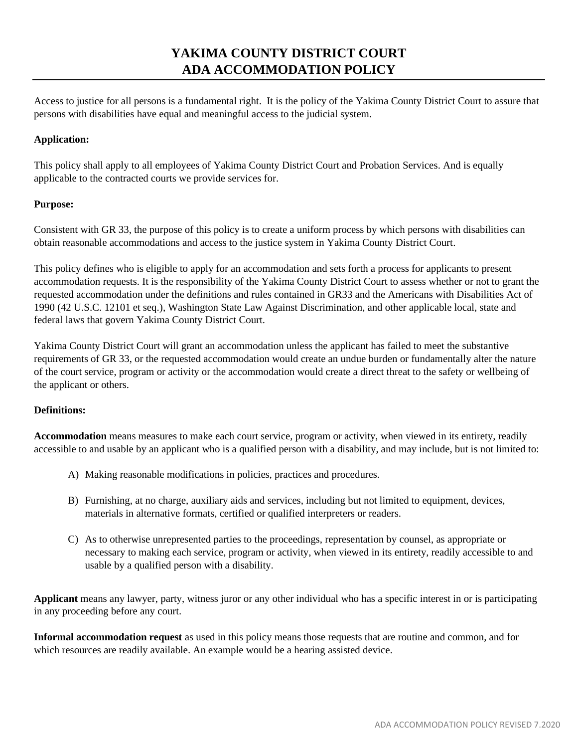# **YAKIMA COUNTY DISTRICT COURT ADA ACCOMMODATION POLICY**

Access to justice for all persons is a fundamental right. It is the policy of the Yakima County District Court to assure that persons with disabilities have equal and meaningful access to the judicial system.

## **Application:**

This policy shall apply to all employees of Yakima County District Court and Probation Services. And is equally applicable to the contracted courts we provide services for.

## **Purpose:**

Consistent with GR 33, the purpose of this policy is to create a uniform process by which persons with disabilities can obtain reasonable accommodations and access to the justice system in Yakima County District Court.

This policy defines who is eligible to apply for an accommodation and sets forth a process for applicants to present accommodation requests. It is the responsibility of the Yakima County District Court to assess whether or not to grant the requested accommodation under the definitions and rules contained in GR33 and the Americans with Disabilities Act of 1990 (42 U.S.C. 12101 et seq.), Washington State Law Against Discrimination, and other applicable local, state and federal laws that govern Yakima County District Court.

Yakima County District Court will grant an accommodation unless the applicant has failed to meet the substantive requirements of GR 33, or the requested accommodation would create an undue burden or fundamentally alter the nature of the court service, program or activity or the accommodation would create a direct threat to the safety or wellbeing of the applicant or others.

## **Definitions:**

**Accommodation** means measures to make each court service, program or activity, when viewed in its entirety, readily accessible to and usable by an applicant who is a qualified person with a disability, and may include, but is not limited to:

- A) Making reasonable modifications in policies, practices and procedures.
- B) Furnishing, at no charge, auxiliary aids and services, including but not limited to equipment, devices, materials in alternative formats, certified or qualified interpreters or readers.
- C) As to otherwise unrepresented parties to the proceedings, representation by counsel, as appropriate or necessary to making each service, program or activity, when viewed in its entirety, readily accessible to and usable by a qualified person with a disability.

**Applicant** means any lawyer, party, witness juror or any other individual who has a specific interest in or is participating in any proceeding before any court.

**Informal accommodation request** as used in this policy means those requests that are routine and common, and for which resources are readily available. An example would be a hearing assisted device.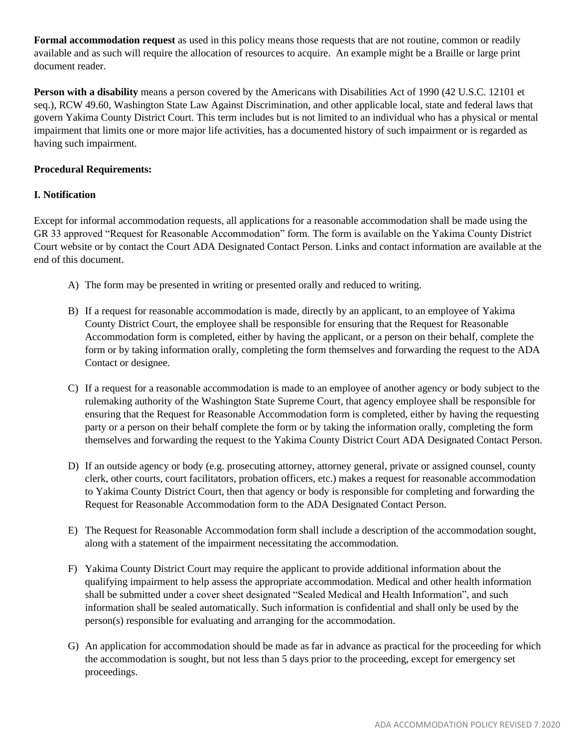**Formal accommodation request** as used in this policy means those requests that are not routine, common or readily available and as such will require the allocation of resources to acquire. An example might be a Braille or large print document reader.

**Person with a disability** means a person covered by the Americans with Disabilities Act of 1990 (42 U.S.C. 12101 et seq.), RCW 49.60, Washington State Law Against Discrimination, and other applicable local, state and federal laws that govern Yakima County District Court. This term includes but is not limited to an individual who has a physical or mental impairment that limits one or more major life activities, has a documented history of such impairment or is regarded as having such impairment.

# **Procedural Requirements:**

## **I. Notification**

Except for informal accommodation requests, all applications for a reasonable accommodation shall be made using the GR 33 approved "Request for Reasonable Accommodation" form. The form is available on the Yakima County District Court website or by contact the Court ADA Designated Contact Person. Links and contact information are available at the end of this document.

- A) The form may be presented in writing or presented orally and reduced to writing.
- B) If a request for reasonable accommodation is made, directly by an applicant, to an employee of Yakima County District Court, the employee shall be responsible for ensuring that the Request for Reasonable Accommodation form is completed, either by having the applicant, or a person on their behalf, complete the form or by taking information orally, completing the form themselves and forwarding the request to the ADA Contact or designee.
- C) If a request for a reasonable accommodation is made to an employee of another agency or body subject to the rulemaking authority of the Washington State Supreme Court, that agency employee shall be responsible for ensuring that the Request for Reasonable Accommodation form is completed, either by having the requesting party or a person on their behalf complete the form or by taking the information orally, completing the form themselves and forwarding the request to the Yakima County District Court ADA Designated Contact Person.
- D) If an outside agency or body (e.g. prosecuting attorney, attorney general, private or assigned counsel, county clerk, other courts, court facilitators, probation officers, etc.) makes a request for reasonable accommodation to Yakima County District Court, then that agency or body is responsible for completing and forwarding the Request for Reasonable Accommodation form to the ADA Designated Contact Person.
- E) The Request for Reasonable Accommodation form shall include a description of the accommodation sought, along with a statement of the impairment necessitating the accommodation.
- F) Yakima County District Court may require the applicant to provide additional information about the qualifying impairment to help assess the appropriate accommodation. Medical and other health information shall be submitted under a cover sheet designated "Sealed Medical and Health Information", and such information shall be sealed automatically. Such information is confidential and shall only be used by the person(s) responsible for evaluating and arranging for the accommodation.
- G) An application for accommodation should be made as far in advance as practical for the proceeding for which the accommodation is sought, but not less than 5 days prior to the proceeding, except for emergency set proceedings.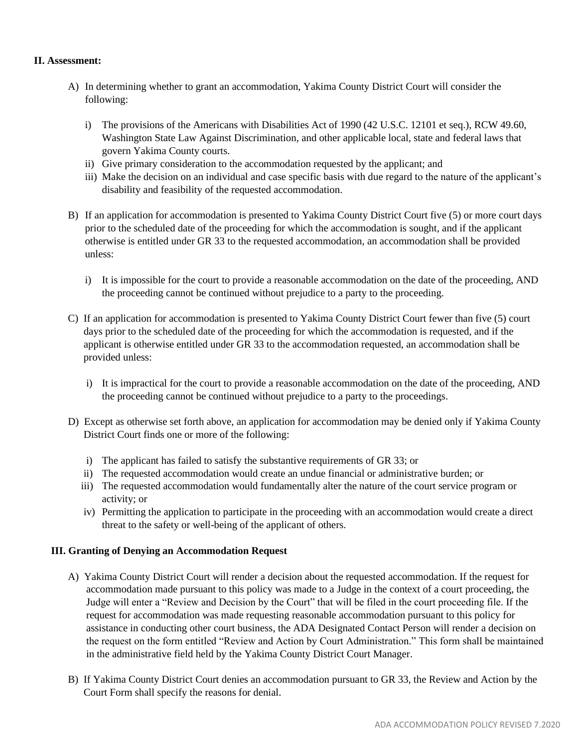## **II. Assessment:**

- A) In determining whether to grant an accommodation, Yakima County District Court will consider the following:
	- i) The provisions of the Americans with Disabilities Act of 1990 (42 U.S.C. 12101 et seq.), RCW 49.60, Washington State Law Against Discrimination, and other applicable local, state and federal laws that govern Yakima County courts.
	- ii) Give primary consideration to the accommodation requested by the applicant; and
	- iii) Make the decision on an individual and case specific basis with due regard to the nature of the applicant's disability and feasibility of the requested accommodation.
- B) If an application for accommodation is presented to Yakima County District Court five (5) or more court days prior to the scheduled date of the proceeding for which the accommodation is sought, and if the applicant otherwise is entitled under GR 33 to the requested accommodation, an accommodation shall be provided unless:
	- i) It is impossible for the court to provide a reasonable accommodation on the date of the proceeding, AND the proceeding cannot be continued without prejudice to a party to the proceeding.
- C) If an application for accommodation is presented to Yakima County District Court fewer than five (5) court days prior to the scheduled date of the proceeding for which the accommodation is requested, and if the applicant is otherwise entitled under GR 33 to the accommodation requested, an accommodation shall be provided unless:
	- i) It is impractical for the court to provide a reasonable accommodation on the date of the proceeding, AND the proceeding cannot be continued without prejudice to a party to the proceedings.
- D) Except as otherwise set forth above, an application for accommodation may be denied only if Yakima County District Court finds one or more of the following:
	- i) The applicant has failed to satisfy the substantive requirements of GR 33; or
	- ii) The requested accommodation would create an undue financial or administrative burden; or
	- iii) The requested accommodation would fundamentally alter the nature of the court service program or activity; or
	- iv) Permitting the application to participate in the proceeding with an accommodation would create a direct threat to the safety or well-being of the applicant of others.

## **III. Granting of Denying an Accommodation Request**

- A) Yakima County District Court will render a decision about the requested accommodation. If the request for accommodation made pursuant to this policy was made to a Judge in the context of a court proceeding, the Judge will enter a "Review and Decision by the Court" that will be filed in the court proceeding file. If the request for accommodation was made requesting reasonable accommodation pursuant to this policy for assistance in conducting other court business, the ADA Designated Contact Person will render a decision on the request on the form entitled "Review and Action by Court Administration." This form shall be maintained in the administrative field held by the Yakima County District Court Manager.
- B) If Yakima County District Court denies an accommodation pursuant to GR 33, the Review and Action by the Court Form shall specify the reasons for denial.